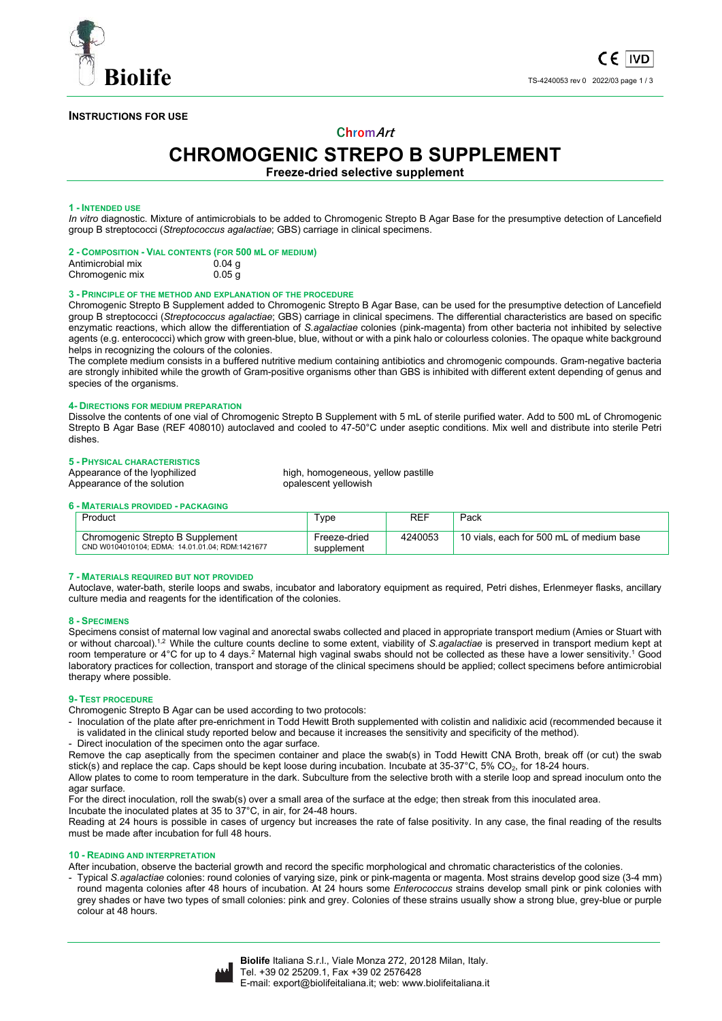

## **INSTRUCTIONS FOR USE**

# **ChromArt**

# **CHROMOGENIC STREPO B SUPPLEMENT**

**Freeze-dried selective supplement** 

## **1 - INTENDED USE**

*In vitro* diagnostic. Mixture of antimicrobials to be added to Chromogenic Strepto B Agar Base for the presumptive detection of Lancefield group B streptococci (*Streptococcus agalactiae*; GBS) carriage in clinical specimens.

|                   | 2 - COMPOSITION - VIAL CONTENTS (FOR 500 ML OF MEDIUM) |
|-------------------|--------------------------------------------------------|
| Antimicrobial mix | $0.04$ g                                               |

Chromogenic mix 0.05 g

## **3 - PRINCIPLE OF THE METHOD AND EXPLANATION OF THE PROCEDURE**

Chromogenic Strepto B Supplement added to Chromogenic Strepto B Agar Base, can be used for the presumptive detection of Lancefield group B streptococci (*Streptococcus agalactiae*; GBS) carriage in clinical specimens. The differential characteristics are based on specific enzymatic reactions, which allow the differentiation of *S.agalactiae* colonies (pink-magenta) from other bacteria not inhibited by selective agents (e.g. enterococci) which grow with green-blue, blue, without or with a pink halo or colourless colonies. The opaque white background helps in recognizing the colours of the colonies.

The complete medium consists in a buffered nutritive medium containing antibiotics and chromogenic compounds. Gram-negative bacteria are strongly inhibited while the growth of Gram-positive organisms other than GBS is inhibited with different extent depending of genus and species of the organisms.

## **4- DIRECTIONS FOR MEDIUM PREPARATION**

Dissolve the contents of one vial of Chromogenic Strepto B Supplement with 5 mL of sterile purified water. Add to 500 mL of Chromogenic Strepto B Agar Base (REF 408010) autoclaved and cooled to 47-50°C under aseptic conditions. Mix well and distribute into sterile Petri dishes.

# **5 - PHYSICAL CHARACTERISTICS**

Appearance of the solution

high, homogeneous, yellow pastille opalescent yellowish

## **6 - MATERIALS PROVIDED - PACKAGING**

| Product                                                                             | ⊺vpe                       | REF     | Pack                                     |
|-------------------------------------------------------------------------------------|----------------------------|---------|------------------------------------------|
| Chromogenic Strepto B Supplement<br>CND W0104010104: EDMA: 14.01.01.04: RDM:1421677 | Freeze-dried<br>supplement | 4240053 | 10 vials, each for 500 mL of medium base |

## **7 - MATERIALS REQUIRED BUT NOT PROVIDED**

Autoclave, water-bath, sterile loops and swabs, incubator and laboratory equipment as required, Petri dishes, Erlenmeyer flasks, ancillary culture media and reagents for the identification of the colonies.

## **8 - SPECIMENS**

Specimens consist of maternal low vaginal and anorectal swabs collected and placed in appropriate transport medium (Amies or Stuart with or without charcoal).1,2 While the culture counts decline to some extent, viability of *S.agalactiae* is preserved in transport medium kept at room temperature or 4°C for up to 4 days.<sup>2</sup> Maternal high vaginal swabs should not be collected as these have a lower sensitivity.<sup>1</sup> Good laboratory practices for collection, transport and storage of the clinical specimens should be applied; collect specimens before antimicrobial therapy where possible.

## **9- TEST PROCEDURE**

Chromogenic Strepto B Agar can be used according to two protocols:

- Inoculation of the plate after pre-enrichment in Todd Hewitt Broth supplemented with colistin and nalidixic acid (recommended because it is validated in the clinical study reported below and because it increases the sensitivity and specificity of the method). - Direct inoculation of the specimen onto the agar surface.

Remove the cap aseptically from the specimen container and place the swab(s) in Todd Hewitt CNA Broth, break off (or cut) the swab stick(s) and replace the cap. Caps should be kept loose during incubation. Incubate at 35-37°C, 5% CO<sub>2</sub>, for 18-24 hours.

Allow plates to come to room temperature in the dark. Subculture from the selective broth with a sterile loop and spread inoculum onto the agar surface.

For the direct inoculation, roll the swab(s) over a small area of the surface at the edge; then streak from this inoculated area.

Incubate the inoculated plates at 35 to 37°C, in air, for 24-48 hours.

Reading at 24 hours is possible in cases of urgency but increases the rate of false positivity. In any case, the final reading of the results must be made after incubation for full 48 hours.

## **10 - READING AND INTERPRETATION**

After incubation, observe the bacterial growth and record the specific morphological and chromatic characteristics of the colonies.

- Typical *S.agalactiae* colonies: round colonies of varying size, pink or pink-magenta or magenta. Most strains develop good size (3-4 mm) round magenta colonies after 48 hours of incubation. At 24 hours some *Enterococcus* strains develop small pink or pink colonies with grey shades or have two types of small colonies: pink and grey. Colonies of these strains usually show a strong blue, grey-blue or purple colour at 48 hours.

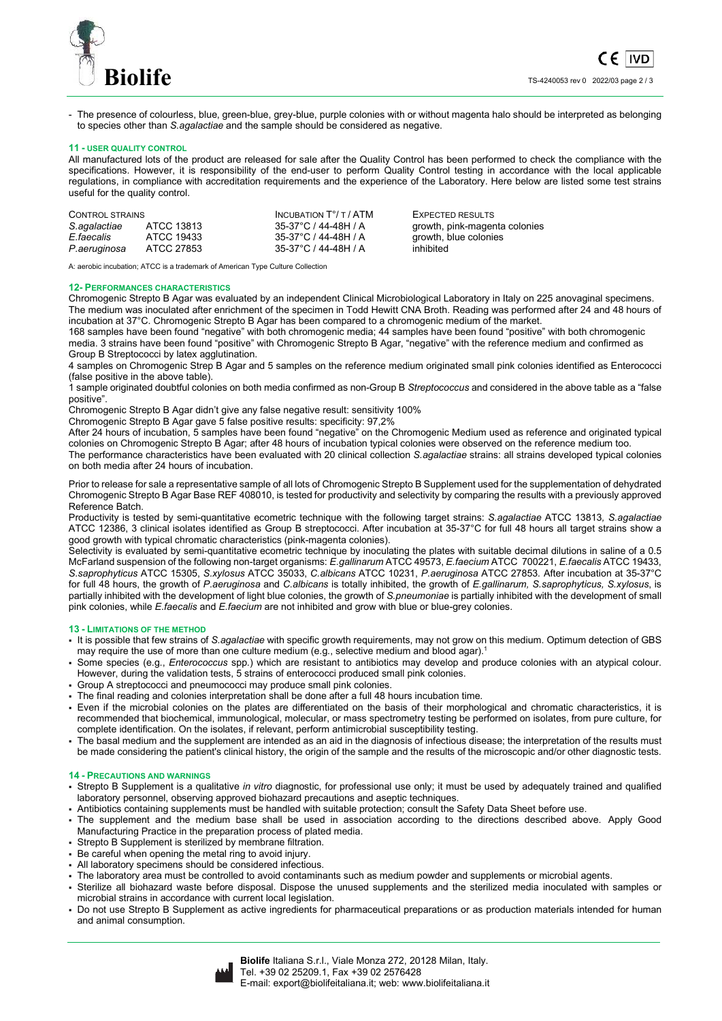



- The presence of colourless, blue, green-blue, grey-blue, purple colonies with or without magenta halo should be interpreted as belonging to species other than *S.agalactiae* and the sample should be considered as negative.

#### **11 - USER QUALITY CONTROL**

All manufactured lots of the product are released for sale after the Quality Control has been performed to check the compliance with the specifications. However, it is responsibility of the end-user to perform Quality Control testing in accordance with the local applicable regulations, in compliance with accreditation requirements and the experience of the Laboratory. Here below are listed some test strains useful for the quality control.

| CONTROL STRAINS |            | INCUBATION T°/ T / ATM | EXPECTED RESULTS              |
|-----------------|------------|------------------------|-------------------------------|
| S.agalactiae    | ATCC 13813 | 35-37°C / 44-48H / A   | growth, pink-magenta colonies |
| E faecalis      | ATCC 19433 | 35-37°C / 44-48H / A   | growth, blue colonies         |
| P.aeruginosa    | ATCC 27853 | 35-37°C / 44-48H / A   | inhibited                     |

A: aerobic incubation; ATCC is a trademark of American Type Culture Collection

#### **12- PERFORMANCES CHARACTERISTICS**

Chromogenic Strepto B Agar was evaluated by an independent Clinical Microbiological Laboratory in Italy on 225 anovaginal specimens. The medium was inoculated after enrichment of the specimen in Todd Hewitt CNA Broth. Reading was performed after 24 and 48 hours of incubation at 37°C. Chromogenic Strepto B Agar has been compared to a chromogenic medium of the market.

168 samples have been found "negative" with both chromogenic media; 44 samples have been found "positive" with both chromogenic media. 3 strains have been found "positive" with Chromogenic Strepto B Agar, "negative" with the reference medium and confirmed as Group B Streptococci by latex agglutination.

4 samples on Chromogenic Strep B Agar and 5 samples on the reference medium originated small pink colonies identified as Enterococci (false positive in the above table).

1 sample originated doubtful colonies on both media confirmed as non-Group B *Streptococcus* and considered in the above table as a "false positive".

Chromogenic Strepto B Agar didn't give any false negative result: sensitivity 100%

Chromogenic Strepto B Agar gave 5 false positive results: specificity: 97,2%

After 24 hours of incubation, 5 samples have been found "negative" on the Chromogenic Medium used as reference and originated typical colonies on Chromogenic Strepto B Agar; after 48 hours of incubation typical colonies were observed on the reference medium too. The performance characteristics have been evaluated with 20 clinical collection *S.agalactiae* strains: all strains developed typical colonies on both media after 24 hours of incubation.

Prior to release for sale a representative sample of all lots of Chromogenic Strepto B Supplement used for the supplementation of dehydrated Chromogenic Strepto B Agar Base REF 408010, is tested for productivity and selectivity by comparing the results with a previously approved Reference Batch.

Productivity is tested by semi-quantitative ecometric technique with the following target strains: *S.agalactiae* ATCC 13813*, S.agalactiae* ATCC 12386, 3 clinical isolates identified as Group B streptococci. After incubation at 35-37°C for full 48 hours all target strains show a good growth with typical chromatic characteristics (pink-magenta colonies).

Selectivity is evaluated by semi-quantitative ecometric technique by inoculating the plates with suitable decimal dilutions in saline of a 0.5 McFarland suspension of the following non-target organisms: *E.gallinarum* ATCC 49573, *E.faecium* ATCC 700221, *E.faecalis* ATCC 19433, *S.saprophyticus* ATCC 15305, *S.xylosus* ATCC 35033, *C.albicans* ATCC 10231, *P.aeruginosa* ATCC 27853*.* After incubation at 35-37°C for full 48 hours, the growth of *P.aeruginosa* and *C.albicans* is totally inhibited, the growth of *E.gallinarum, S.saprophyticus, S.xylosus*, is partially inhibited with the development of light blue colonies, the growth of *S.pneumoniae* is partially inhibited with the development of small pink colonies, while *E.faecalis* and *E.faecium* are not inhibited and grow with blue or blue-grey colonies.

## **13 - LIMITATIONS OF THE METHOD**

- It is possible that few strains of *S.agalactiae* with specific growth requirements, may not grow on this medium. Optimum detection of GBS may require the use of more than one culture medium (e.g., selective medium and blood agar).1
- Some species (e.g., *Enterococcus* spp.) which are resistant to antibiotics may develop and produce colonies with an atypical colour. However, during the validation tests, 5 strains of enterococci produced small pink colonies.
- Group A streptococci and pneumococci may produce small pink colonies.
- The final reading and colonies interpretation shall be done after a full 48 hours incubation time.
- Even if the microbial colonies on the plates are differentiated on the basis of their morphological and chromatic characteristics, it is recommended that biochemical, immunological, molecular, or mass spectrometry testing be performed on isolates, from pure culture, for complete identification. On the isolates, if relevant, perform antimicrobial susceptibility testing.
- The basal medium and the supplement are intended as an aid in the diagnosis of infectious disease; the interpretation of the results must be made considering the patient's clinical history, the origin of the sample and the results of the microscopic and/or other diagnostic tests.

### **14 - PRECAUTIONS AND WARNINGS**

- Strepto B Supplement is a qualitative *in vitro* diagnostic, for professional use only; it must be used by adequately trained and qualified laboratory personnel, observing approved biohazard precautions and aseptic techniques.
- Antibiotics containing supplements must be handled with suitable protection; consult the Safety Data Sheet before use.
- The supplement and the medium base shall be used in association according to the directions described above. Apply Good Manufacturing Practice in the preparation process of plated media.
- Strepto B Supplement is sterilized by membrane filtration.
- Be careful when opening the metal ring to avoid injury.
- All laboratory specimens should be considered infectious.
- The laboratory area must be controlled to avoid contaminants such as medium powder and supplements or microbial agents.
- Sterilize all biohazard waste before disposal. Dispose the unused supplements and the sterilized media inoculated with samples or microbial strains in accordance with current local legislation.
- Do not use Strepto B Supplement as active ingredients for pharmaceutical preparations or as production materials intended for human and animal consumption.